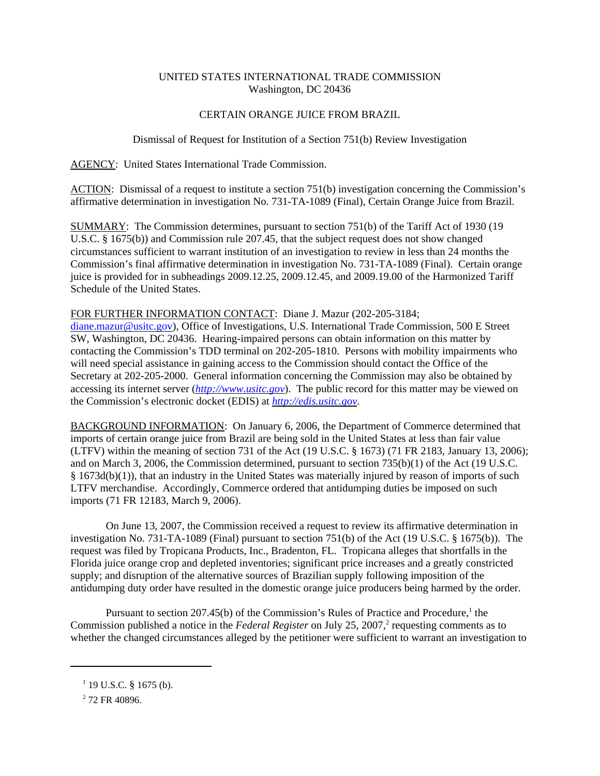## UNITED STATES INTERNATIONAL TRADE COMMISSION Washington, DC 20436

## CERTAIN ORANGE JUICE FROM BRAZIL

Dismissal of Request for Institution of a Section 751(b) Review Investigation

AGENCY: United States International Trade Commission.

ACTION: Dismissal of a request to institute a section 751(b) investigation concerning the Commission's affirmative determination in investigation No. 731-TA-1089 (Final), Certain Orange Juice from Brazil.

SUMMARY: The Commission determines, pursuant to section 751(b) of the Tariff Act of 1930 (19 U.S.C. § 1675(b)) and Commission rule 207.45, that the subject request does not show changed circumstances sufficient to warrant institution of an investigation to review in less than 24 months the Commission's final affirmative determination in investigation No. 731-TA-1089 (Final). Certain orange juice is provided for in subheadings 2009.12.25, 2009.12.45, and 2009.19.00 of the Harmonized Tariff Schedule of the United States.

FOR FURTHER INFORMATION CONTACT: Diane J. Mazur (202-205-3184;

diane.mazur@usitc.gov), Office of Investigations, U.S. International Trade Commission, 500 E Street SW, Washington, DC 20436. Hearing-impaired persons can obtain information on this matter by contacting the Commission's TDD terminal on 202-205-1810. Persons with mobility impairments who will need special assistance in gaining access to the Commission should contact the Office of the Secretary at 202-205-2000. General information concerning the Commission may also be obtained by accessing its internet server (*http://www.usitc.gov*). The public record for this matter may be viewed on the Commission's electronic docket (EDIS) at *http://edis.usitc.gov*.

BACKGROUND INFORMATION: On January 6, 2006, the Department of Commerce determined that imports of certain orange juice from Brazil are being sold in the United States at less than fair value (LTFV) within the meaning of section 731 of the Act (19 U.S.C. § 1673) (71 FR 2183, January 13, 2006); and on March 3, 2006, the Commission determined, pursuant to section 735(b)(1) of the Act (19 U.S.C. § 1673d(b)(1)), that an industry in the United States was materially injured by reason of imports of such LTFV merchandise. Accordingly, Commerce ordered that antidumping duties be imposed on such imports (71 FR 12183, March 9, 2006).

On June 13, 2007, the Commission received a request to review its affirmative determination in investigation No. 731-TA-1089 (Final) pursuant to section 751(b) of the Act (19 U.S.C. § 1675(b)). The request was filed by Tropicana Products, Inc., Bradenton, FL. Tropicana alleges that shortfalls in the Florida juice orange crop and depleted inventories; significant price increases and a greatly constricted supply; and disruption of the alternative sources of Brazilian supply following imposition of the antidumping duty order have resulted in the domestic orange juice producers being harmed by the order.

Pursuant to section  $207.45(b)$  of the Commission's Rules of Practice and Procedure,<sup>1</sup> the Commission published a notice in the *Federal Register* on July 25, 2007,<sup>2</sup> requesting comments as to whether the changed circumstances alleged by the petitioner were sufficient to warrant an investigation to

 $1$  19 U.S.C. § 1675 (b).

<sup>&</sup>lt;sup>2</sup> 72 FR 40896.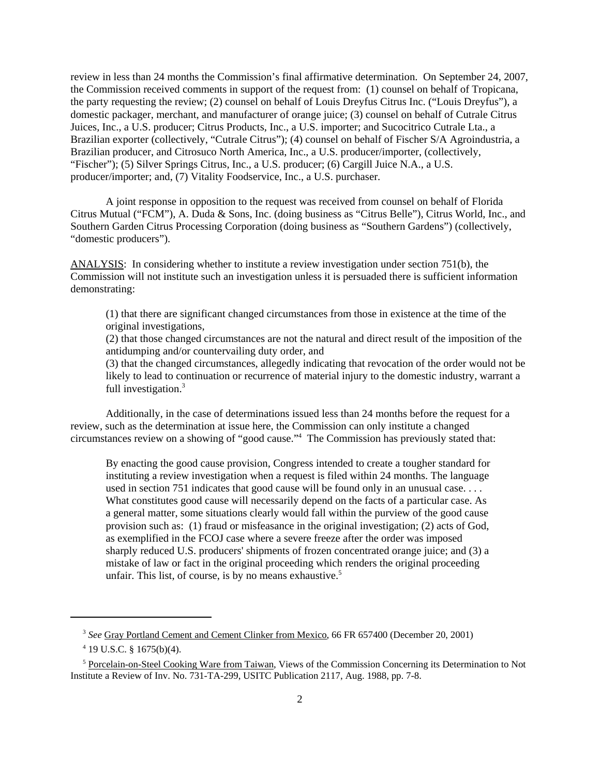review in less than 24 months the Commission's final affirmative determination. On September 24, 2007, the Commission received comments in support of the request from: (1) counsel on behalf of Tropicana, the party requesting the review; (2) counsel on behalf of Louis Dreyfus Citrus Inc. ("Louis Dreyfus"), a domestic packager, merchant, and manufacturer of orange juice; (3) counsel on behalf of Cutrale Citrus Juices, Inc., a U.S. producer; Citrus Products, Inc., a U.S. importer; and Sucocitrico Cutrale Lta., a Brazilian exporter (collectively, "Cutrale Citrus"); (4) counsel on behalf of Fischer S/A Agroindustria, a Brazilian producer, and Citrosuco North America, Inc., a U.S. producer/importer, (collectively, "Fischer"); (5) Silver Springs Citrus, Inc., a U.S. producer; (6) Cargill Juice N.A., a U.S. producer/importer; and, (7) Vitality Foodservice, Inc., a U.S. purchaser.

A joint response in opposition to the request was received from counsel on behalf of Florida Citrus Mutual ("FCM"), A. Duda & Sons, Inc. (doing business as "Citrus Belle"), Citrus World, Inc., and Southern Garden Citrus Processing Corporation (doing business as "Southern Gardens") (collectively, "domestic producers").

ANALYSIS: In considering whether to institute a review investigation under section 751(b), the Commission will not institute such an investigation unless it is persuaded there is sufficient information demonstrating:

(1) that there are significant changed circumstances from those in existence at the time of the original investigations,

(2) that those changed circumstances are not the natural and direct result of the imposition of the antidumping and/or countervailing duty order, and

(3) that the changed circumstances, allegedly indicating that revocation of the order would not be likely to lead to continuation or recurrence of material injury to the domestic industry, warrant a full investigation.<sup>3</sup>

Additionally, in the case of determinations issued less than 24 months before the request for a review, such as the determination at issue here, the Commission can only institute a changed circumstances review on a showing of "good cause."4 The Commission has previously stated that:

By enacting the good cause provision, Congress intended to create a tougher standard for instituting a review investigation when a request is filed within 24 months. The language used in section 751 indicates that good cause will be found only in an unusual case. . . . What constitutes good cause will necessarily depend on the facts of a particular case. As a general matter, some situations clearly would fall within the purview of the good cause provision such as: (1) fraud or misfeasance in the original investigation; (2) acts of God, as exemplified in the FCOJ case where a severe freeze after the order was imposed sharply reduced U.S. producers' shipments of frozen concentrated orange juice; and (3) a mistake of law or fact in the original proceeding which renders the original proceeding unfair. This list, of course, is by no means exhaustive.<sup>5</sup>

 <sup>3</sup> *See* Gray Portland Cement and Cement Clinker from Mexico, 66 FR 657400 (December 20, 2001)

 $4$  19 U.S.C. § 1675(b)(4).

<sup>&</sup>lt;sup>5</sup> Porcelain-on-Steel Cooking Ware from Taiwan, Views of the Commission Concerning its Determination to Not Institute a Review of Inv. No. 731-TA-299, USITC Publication 2117, Aug. 1988, pp. 7-8.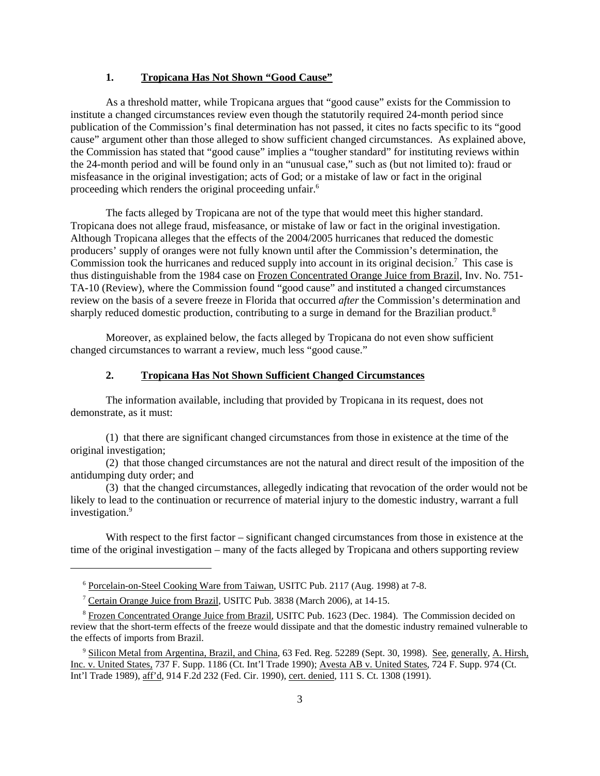## **1. Tropicana Has Not Shown "Good Cause"**

As a threshold matter, while Tropicana argues that "good cause" exists for the Commission to institute a changed circumstances review even though the statutorily required 24-month period since publication of the Commission's final determination has not passed, it cites no facts specific to its "good cause" argument other than those alleged to show sufficient changed circumstances. As explained above, the Commission has stated that "good cause" implies a "tougher standard" for instituting reviews within the 24-month period and will be found only in an "unusual case," such as (but not limited to): fraud or misfeasance in the original investigation; acts of God; or a mistake of law or fact in the original proceeding which renders the original proceeding unfair.6

The facts alleged by Tropicana are not of the type that would meet this higher standard. Tropicana does not allege fraud, misfeasance, or mistake of law or fact in the original investigation. Although Tropicana alleges that the effects of the 2004/2005 hurricanes that reduced the domestic producers' supply of oranges were not fully known until after the Commission's determination, the Commission took the hurricanes and reduced supply into account in its original decision.<sup>7</sup> This case is thus distinguishable from the 1984 case on Frozen Concentrated Orange Juice from Brazil, Inv. No. 751- TA-10 (Review), where the Commission found "good cause" and instituted a changed circumstances review on the basis of a severe freeze in Florida that occurred *after* the Commission's determination and sharply reduced domestic production, contributing to a surge in demand for the Brazilian product.<sup>8</sup>

Moreover, as explained below, the facts alleged by Tropicana do not even show sufficient changed circumstances to warrant a review, much less "good cause."

## **2. Tropicana Has Not Shown Sufficient Changed Circumstances**

The information available, including that provided by Tropicana in its request, does not demonstrate, as it must:

(1) that there are significant changed circumstances from those in existence at the time of the original investigation;

(2) that those changed circumstances are not the natural and direct result of the imposition of the antidumping duty order; and

(3) that the changed circumstances, allegedly indicating that revocation of the order would not be likely to lead to the continuation or recurrence of material injury to the domestic industry, warrant a full investigation.<sup>9</sup>

With respect to the first factor – significant changed circumstances from those in existence at the time of the original investigation – many of the facts alleged by Tropicana and others supporting review

<sup>&</sup>lt;sup>6</sup> Porcelain-on-Steel Cooking Ware from Taiwan, USITC Pub. 2117 (Aug. 1998) at 7-8.

<sup>&</sup>lt;sup>7</sup> Certain Orange Juice from Brazil, USITC Pub. 3838 (March 2006), at 14-15.

<sup>&</sup>lt;sup>8</sup> Frozen Concentrated Orange Juice from Brazil, USITC Pub. 1623 (Dec. 1984). The Commission decided on review that the short-term effects of the freeze would dissipate and that the domestic industry remained vulnerable to the effects of imports from Brazil.

<sup>&</sup>lt;sup>9</sup> Silicon Metal from Argentina, Brazil, and China, 63 Fed. Reg. 52289 (Sept. 30, 1998). See, generally, A. Hirsh, Inc. v. United States, 737 F. Supp. 1186 (Ct. Int'l Trade 1990); Avesta AB v. United States, 724 F. Supp. 974 (Ct. Int'l Trade 1989), aff'd, 914 F.2d 232 (Fed. Cir. 1990), cert. denied*,* 111 S. Ct. 1308 (1991).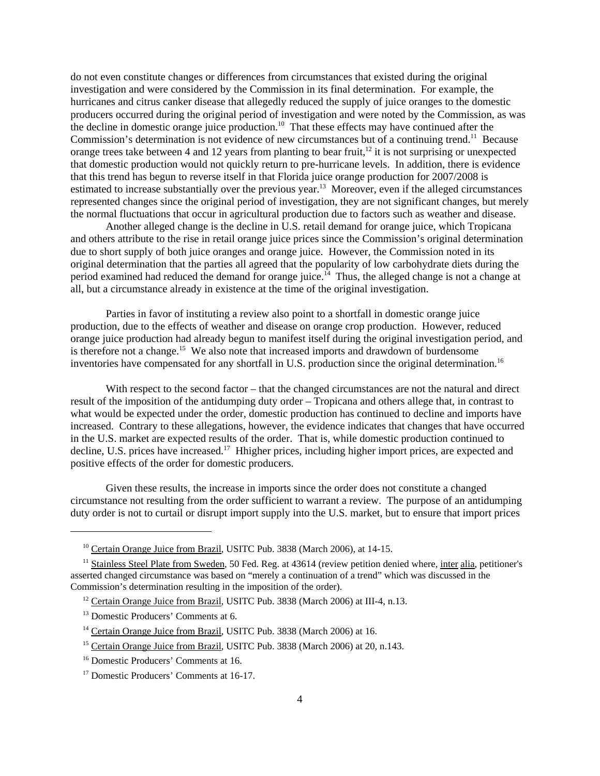do not even constitute changes or differences from circumstances that existed during the original investigation and were considered by the Commission in its final determination. For example, the hurricanes and citrus canker disease that allegedly reduced the supply of juice oranges to the domestic producers occurred during the original period of investigation and were noted by the Commission, as was the decline in domestic orange juice production.<sup>10</sup> That these effects may have continued after the Commission's determination is not evidence of new circumstances but of a continuing trend.<sup>11</sup> Because orange trees take between 4 and 12 years from planting to bear fruit,  $12$  it is not surprising or unexpected that domestic production would not quickly return to pre-hurricane levels. In addition, there is evidence that this trend has begun to reverse itself in that Florida juice orange production for 2007/2008 is estimated to increase substantially over the previous year.<sup>13</sup> Moreover, even if the alleged circumstances represented changes since the original period of investigation, they are not significant changes, but merely the normal fluctuations that occur in agricultural production due to factors such as weather and disease.

Another alleged change is the decline in U.S. retail demand for orange juice, which Tropicana and others attribute to the rise in retail orange juice prices since the Commission's original determination due to short supply of both juice oranges and orange juice. However, the Commission noted in its original determination that the parties all agreed that the popularity of low carbohydrate diets during the period examined had reduced the demand for orange juice.<sup>14</sup> Thus, the alleged change is not a change at all, but a circumstance already in existence at the time of the original investigation.

Parties in favor of instituting a review also point to a shortfall in domestic orange juice production, due to the effects of weather and disease on orange crop production. However, reduced orange juice production had already begun to manifest itself during the original investigation period, and is therefore not a change.<sup>15</sup> We also note that increased imports and drawdown of burdensome inventories have compensated for any shortfall in U.S. production since the original determination.<sup>16</sup>

With respect to the second factor – that the changed circumstances are not the natural and direct result of the imposition of the antidumping duty order – Tropicana and others allege that, in contrast to what would be expected under the order, domestic production has continued to decline and imports have increased. Contrary to these allegations, however, the evidence indicates that changes that have occurred in the U.S. market are expected results of the order. That is, while domestic production continued to decline, U.S. prices have increased.<sup>17</sup> Hhigher prices, including higher import prices, are expected and positive effects of the order for domestic producers.

Given these results, the increase in imports since the order does not constitute a changed circumstance not resulting from the order sufficient to warrant a review. The purpose of an antidumping duty order is not to curtail or disrupt import supply into the U.S. market, but to ensure that import prices

<sup>&</sup>lt;sup>10</sup> Certain Orange Juice from Brazil, USITC Pub. 3838 (March 2006), at 14-15.

<sup>&</sup>lt;sup>11</sup> Stainless Steel Plate from Sweden, 50 Fed. Reg. at 43614 (review petition denied where, inter alia, petitioner's asserted changed circumstance was based on "merely a continuation of a trend" which was discussed in the Commission's determination resulting in the imposition of the order).

<sup>&</sup>lt;sup>12</sup> Certain Orange Juice from Brazil, USITC Pub. 3838 (March 2006) at III-4, n.13.

<sup>&</sup>lt;sup>13</sup> Domestic Producers' Comments at 6.

<sup>&</sup>lt;sup>14</sup> Certain Orange Juice from Brazil, USITC Pub. 3838 (March 2006) at 16.

<sup>&</sup>lt;sup>15</sup> Certain Orange Juice from Brazil, USITC Pub. 3838 (March 2006) at 20, n.143.

<sup>&</sup>lt;sup>16</sup> Domestic Producers' Comments at 16.

<sup>&</sup>lt;sup>17</sup> Domestic Producers' Comments at 16-17.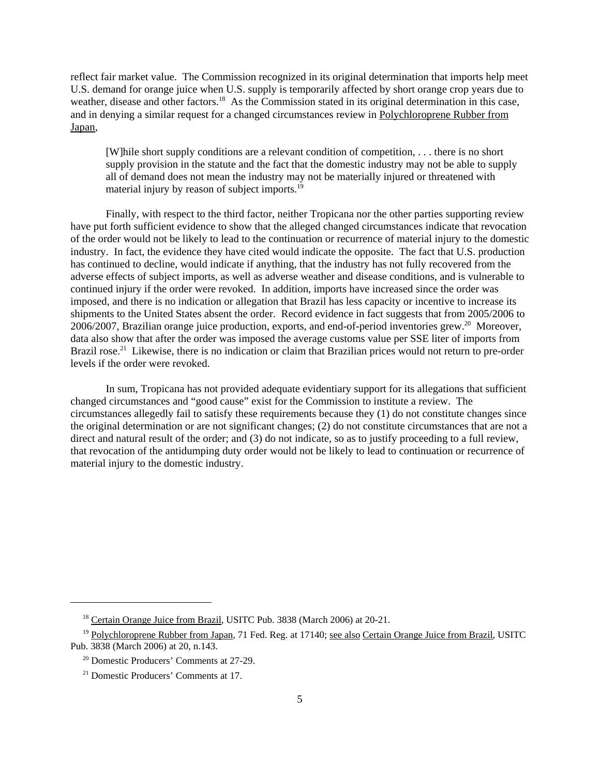reflect fair market value. The Commission recognized in its original determination that imports help meet U.S. demand for orange juice when U.S. supply is temporarily affected by short orange crop years due to weather, disease and other factors.<sup>18</sup> As the Commission stated in its original determination in this case, and in denying a similar request for a changed circumstances review in Polychloroprene Rubber from Japan,

[W]hile short supply conditions are a relevant condition of competition, . . . there is no short supply provision in the statute and the fact that the domestic industry may not be able to supply all of demand does not mean the industry may not be materially injured or threatened with material injury by reason of subject imports.<sup>19</sup>

Finally, with respect to the third factor, neither Tropicana nor the other parties supporting review have put forth sufficient evidence to show that the alleged changed circumstances indicate that revocation of the order would not be likely to lead to the continuation or recurrence of material injury to the domestic industry. In fact, the evidence they have cited would indicate the opposite. The fact that U.S. production has continued to decline, would indicate if anything, that the industry has not fully recovered from the adverse effects of subject imports, as well as adverse weather and disease conditions, and is vulnerable to continued injury if the order were revoked. In addition, imports have increased since the order was imposed, and there is no indication or allegation that Brazil has less capacity or incentive to increase its shipments to the United States absent the order. Record evidence in fact suggests that from 2005/2006 to  $2006/2007$ , Brazilian orange juice production, exports, and end-of-period inventories grew.<sup>20</sup> Moreover, data also show that after the order was imposed the average customs value per SSE liter of imports from Brazil rose.<sup>21</sup> Likewise, there is no indication or claim that Brazilian prices would not return to pre-order levels if the order were revoked.

In sum, Tropicana has not provided adequate evidentiary support for its allegations that sufficient changed circumstances and "good cause" exist for the Commission to institute a review. The circumstances allegedly fail to satisfy these requirements because they (1) do not constitute changes since the original determination or are not significant changes; (2) do not constitute circumstances that are not a direct and natural result of the order; and (3) do not indicate, so as to justify proceeding to a full review, that revocation of the antidumping duty order would not be likely to lead to continuation or recurrence of material injury to the domestic industry.

<sup>&</sup>lt;sup>18</sup> Certain Orange Juice from Brazil, USITC Pub. 3838 (March 2006) at 20-21.

<sup>&</sup>lt;sup>19</sup> Polychloroprene Rubber from Japan, 71 Fed. Reg. at 17140; see also Certain Orange Juice from Brazil, USITC Pub. 3838 (March 2006) at 20, n.143.

 <sup>20</sup> Domestic Producers' Comments at 27-29.

 <sup>21</sup> Domestic Producers' Comments at 17.